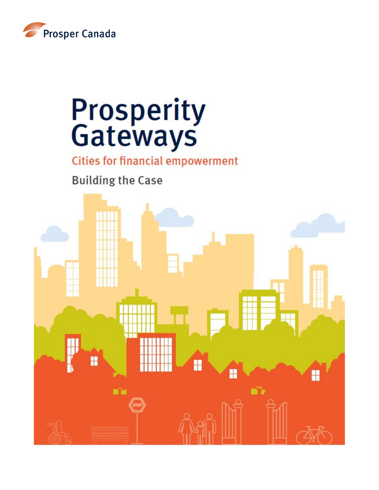

# **Prosperity**<br>Gateways

**Cities for financial empowerment** 

**Building the Case** 

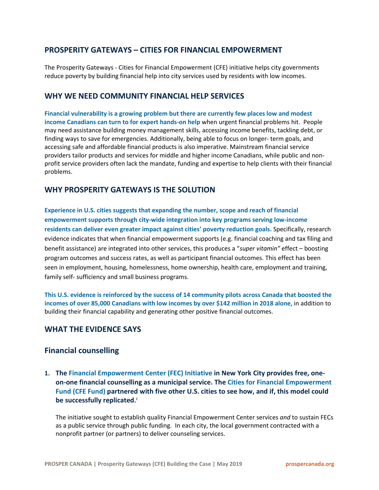# **PROSPERITY GATEWAYS – CITIES FOR FINANCIAL EMPOWERMENT**

The Prosperity Gateways - Cities for Financial Empowerment (CFE) initiative helps city governments reduce poverty by building financial help into city services used by residents with low incomes.

## **WHY WE NEED COMMUNITY FINANCIAL HELP SERVICES**

**Financial vulnerability is a growing problem but there are currently few places low and modest income Canadians can turn to for expert hands-on help** when urgent financial problems hit. People may need assistance building money management skills, accessing income benefits, tackling debt, or finding ways to save for emergencies. Additionally, being able to focus on longer- term goals, and accessing safe and affordable financial products is also imperative. Mainstream financial service providers tailor products and services for middle and higher income Canadians, while public and nonprofit service providers often lack the mandate, funding and expertise to help clients with their financial problems.

## **WHY PROSPERITY GATEWAYS IS THE SOLUTION**

**Experience in U.S. cities suggests that expanding the number, scope and reach of financial empowerment supports through city-wide integration into key programs serving low-income residents can deliver even greater impact against cities' poverty reduction goals.** Specifically, research evidence indicates that when financial empowerment supports (e.g. financial coaching and tax filing and benefit assistance) are integrated into other services, this produces a "*super vitamin"* effect – boosting program outcomes and success rates, as well as participant financial outcomes. This effect has been seen in employment, housing, homelessness, home ownership, health care, employment and training, family self- sufficiency and small business programs.

**This U.S. evidence is reinforced by the success of 14 community pilots across Canada that boosted the incomes of over 85,000 Canadians with low incomes by over \$142 million in 2018 alone**, in addition to building their financial capability and generating other positive financial outcomes.

## **WHAT THE EVIDENCE SAYS**

## **Financial counselling**

**1. The Financial Empowerment Center (FEC) Initiative in New York City provides free, oneon-one financial counselling as a municipal service. The Cities for Financial Empowerment Fund (CFE Fund) partnered with five other U.S. cities to see how, and if, this model could be successfully replicated. [i](#page-14-0)**

The initiative sought to establish quality Financial Empowerment Center services *and* to sustain FECs as a public service through public funding. In each city, the local government contracted with a nonprofit partner (or partners) to deliver counseling services.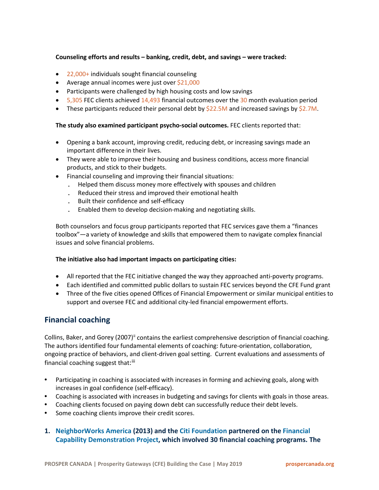## **Counseling efforts and results – banking, credit, debt, and savings – were tracked:**

- 22,000+ individuals sought financial counseling
- Average annual incomes were just over \$21,000
- Participants were challenged by high housing costs and low savings
- $\bullet$  5,305 FEC clients achieved 14,493 financial outcomes over the 30 month evaluation period
- These participants reduced their personal debt by \$22.5M and increased savings by \$2.7M.

## **The study also examined participant psycho-social outcomes.** FEC clients reported that:

- Opening a bank account, improving credit, reducing debt, or increasing savings made an important difference in their lives.
- They were able to improve their housing and business conditions, access more financial products, and stick to their budgets.
- Financial counseling and improving their financial situations:
	- . Helped them discuss money more effectively with spouses and children
	- . Reduced their stress and improved their emotional health
	- . Built their confidence and self-efficacy
	- . Enabled them to develop decision-making and negotiating skills.

Both counselors and focus group participants reported that FEC services gave them a "finances toolbox"—a variety of knowledge and skills that empowered them to navigate complex financial issues and solve financial problems.

## **The initiative also had important impacts on participating cities:**

- All reported that the FEC initiative changed the way they approached anti-poverty programs.
- Each identified and committed public dollars to sustain FEC services beyond the CFE Fund grant
- Three of the five cities opened Offices of Financial Empowerment or similar municipal entities to support and oversee FEC and additional city-led financial empowerment efforts.

# **Financial coaching**

Collins, Baker, and Gorey (2007)<sup>[ii](#page-14-1)</sup> contains the earliest comprehensive description of financial coaching. The authors identified four fundamental elements of coaching: future-orientation, collaboration, ongoing practice of behaviors, and client-driven goal setting. Current evaluations and assessments of financial coaching suggest that:<sup>[iii](#page-14-2)</sup>

- **•** Participating in coaching is associated with increases in forming and achieving goals, along with increases in goal confidence (self-efficacy).
- **•** Coaching is associated with increases in budgeting and savings for clients with goals in those areas.
- **•** Coaching clients focused on paying down debt can successfully reduce their debt levels.
- **•** Some coaching clients improve their credit scores.

## **1. NeighborWorks America (2013) and the Citi Foundation partnered on the Financial Capability Demonstration Project, which involved 30 financial coaching programs. The**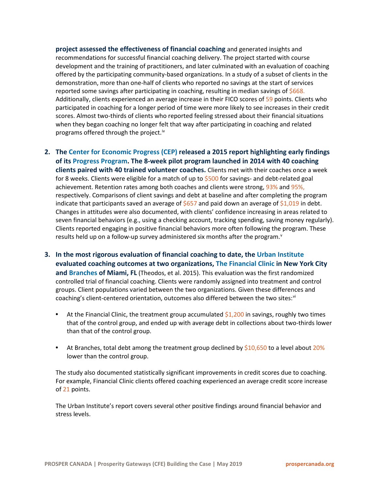**project assessed the effectiveness of financial coaching** and generated insights and recommendations for successful financial coaching delivery. The project started with course development and the training of practitioners, and later culminated with an evaluation of coaching offered by the participating community-based organizations. In a study of a subset of clients in the demonstration, more than one-half of clients who reported no savings at the start of services reported some savings after participating in coaching, resulting in median savings of \$668. Additionally, clients experienced an average increase in their FICO scores of 59 points. Clients who participated in coaching for a longer period of time were more likely to see increases in their credit scores. Almost two-thirds of clients who reported feeling stressed about their financial situations when they began coaching no longer felt that way after participating in coaching and related programs offered through the project.<sup>[iv](#page-14-3)</sup>

- **2. The Center for Economic Progress (CEP) released a 2015 report highlighting early findings of its Progress Program. The 8-week pilot program launched in 2014 with 40 coaching clients paired with 40 trained volunteer coaches.** Clients met with their coaches once a week for 8 weeks. Clients were eligible for a match of up to \$500 for savings- and debt-related goal achievement. Retention rates among both coaches and clients were strong, 93% and 95%, respectively. Comparisons of client savings and debt at baseline and after completing the program indicate that participants saved an average of  $$657$  and paid down an average of  $$1,019$  in debt. Changes in attitudes were also documented, with clients' confidence increasing in areas related to seven financial behaviors (e.g., using a checking account, tracking spending, saving money regularly). Clients reported engaging in positive financial behaviors more often following the program. These results held up on a follow-up sur[v](#page-14-4)ey administered six months after the program.<sup>v</sup>
- **3. In the most rigorous evaluation of financial coaching to date, the Urban Institute evaluated coaching outcomes at two organizations, The Financial Clinic in New York City and Branches of Miami, FL** (Theodos, et al. 2015). This evaluation was the first randomized controlled trial of financial coaching. Clients were randomly assigned into treatment and control groups. Client populations varied between the two organizations. Given these differences and coaching's client-centered orientation, outcomes also differed between the two sites:[vi](#page-14-5)
	- **•** At the Financial Clinic, the treatment group accumulated \$1,200 in savings, roughly two times that of the control group, and ended up with average debt in collections about two-thirds lower than that of the control group.
	- **•** At Branches, total debt among the treatment group declined by \$10,650 to a level about 20% lower than the control group.

The study also documented statistically significant improvements in credit scores due to coaching. For example, Financial Clinic clients offered coaching experienced an average credit score increase of 21 points.

The Urban Institute's report covers several other positive findings around financial behavior and stress levels.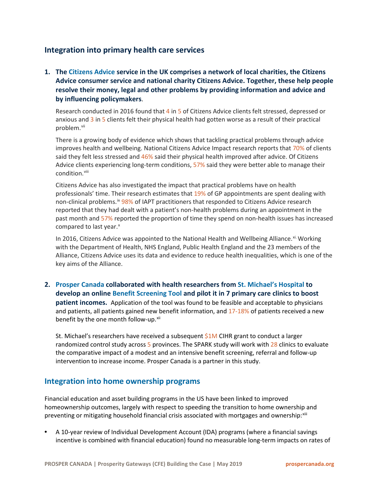# **Integration into primary health care services**

**1. The Citizens Advice service in the UK comprises a network of local charities, the Citizens Advice consumer service and national charity Citizens Advice. Together, these help people resolve their money, legal and other problems by providing information and advice and by influencing policymakers**.

Research conducted in 2016 found that 4 in 5 of Citizens Advice clients felt stressed, depressed or anxious and 3 in 5 clients felt their physical health had gotten worse as a result of their practical problem.<sup>[vii](#page-14-6)</sup>

There is a growing body of evidence which shows that tackling practical problems through advice improves health and wellbeing. National Citizens Advice Impact research reports that 70% of clients said they felt less stressed and 46% said their physical health improved after advice. Of Citizens Advice clients experiencing long-term conditions, 57% said they were better able to manage their condition. [viii](#page-14-7)

Citizens Advice has also investigated the impact that practical problems have on health professionals' time. Their research estimates that 19% of GP appointments are spent dealing with non-clinical problems.<sup>[ix](#page-14-8)</sup> 98% of IAPT practitioners that responded to Citizens Advice research reported that they had dealt with a patient's non-health problems during an appointment in the past month and 57% reported the proportion of time they spend on non-health issues has increased compared to last year.<sup>[x](#page-14-9)</sup>

In 2016, Citizens Advice was appointed to the National Health and Wellbeing Alliance. Xi. Working with the Department of Health, NHS England, Public Health England and the 23 members of the Alliance, Citizens Advice uses its data and evidence to reduce health inequalities, which is one of the key aims of the Alliance.

**2. Prosper Canada collaborated with health researchers from St. Michael's Hospital to develop an online Benefit Screening Tool and pilot it in 7 primary care clinics to boost patient incomes.** Application of the tool was found to be feasible and acceptable to physicians and patients, all patients gained new benefit information, and  $17-18%$  of patients received a new benefit by the one month follow-up.<sup>[xii](#page-14-11)</sup>

St. Michael's researchers have received a subsequent \$1M CIHR grant to conduct a larger randomized control study across 5 provinces. The SPARK study will work with 28 clinics to evaluate the comparative impact of a modest and an intensive benefit screening, referral and follow-up intervention to increase income. Prosper Canada is a partner in this study.

## **Integration into home ownership programs**

Financial education and asset building programs in the US have been linked to improved homeownership outcomes, largely with respect to speeding the transition to home ownership and preventing or mitigating household financial crisis associated with mortgages and ownership: [xiii](#page-15-0)

**•** A 10-year review of Individual Development Account (IDA) programs (where a financial savings incentive is combined with financial education) found no measurable long-term impacts on rates of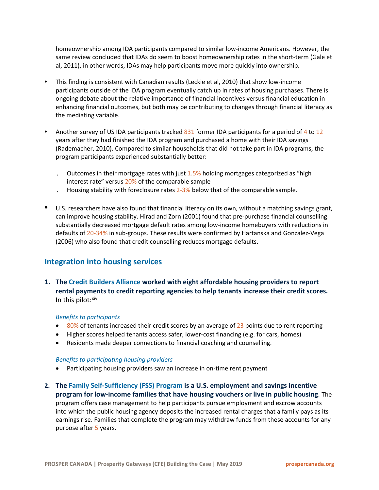homeownership among IDA participants compared to similar low-income Americans. However, the same review concluded that IDAs do seem to boost homeownership rates in the short-term (Gale et al, 2011), in other words, IDAs may help participants move more quickly into ownership.

- **•** This finding is consistent with Canadian results (Leckie et al, 2010) that show low-income participants outside of the IDA program eventually catch up in rates of housing purchases. There is ongoing debate about the relative importance of financial incentives versus financial education in enhancing financial outcomes, but both may be contributing to changes through financial literacy as the mediating variable.
- Another survey of US IDA participants tracked 831 former IDA participants for a period of 4 to 12 years after they had finished the IDA program and purchased a home with their IDA savings (Rademacher, 2010). Compared to similar households that did not take part in IDA programs, the program participants experienced substantially better:
	- **.** Outcomes in their mortgage rates with just 1.5% holding mortgages categorized as "high interest rate" versus 20% of the comparable sample
	- **.** Housing stability with foreclosure rates 2-3% below that of the comparable sample.
- **•** U.S. researchers have also found that financial literacy on its own, without a matching savings grant, can improve housing stability. Hirad and Zorn (2001) found that pre-purchase financial counselling substantially decreased mortgage default rates among low-income homebuyers with reductions in defaults of 20-34% in sub-groups. These results were confirmed by Hartanska and Gonzalez-Vega (2006) who also found that credit counselling reduces mortgage defaults.

# **Integration into housing services**

**1. The Credit Builders Alliance worked with eight affordable housing providers to report rental payments to credit reporting agencies to help tenants increase their credit scores.** In this pilot: $x$ iv

## *Benefits to participants*

- $\bullet$  80% of tenants increased their credit scores by an average of 23 points due to rent reporting
- Higher scores helped tenants access safer, lower-cost financing (e.g. for cars, homes)
- Residents made deeper connections to financial coaching and counselling.

#### *Benefits to participating housing providers*

- Participating housing providers saw an increase in on-time rent payment
- **2. The Family Self-Sufficiency (FSS) Program is a U.S. employment and savings incentive program for low-income families that have housing vouchers or live in public housing**. The program offers case management to help participants pursue employment and escrow accounts into which the public housing agency deposits the increased rental charges that a family pays as its earnings rise. Families that complete the program may withdraw funds from these accounts for any purpose after 5 years.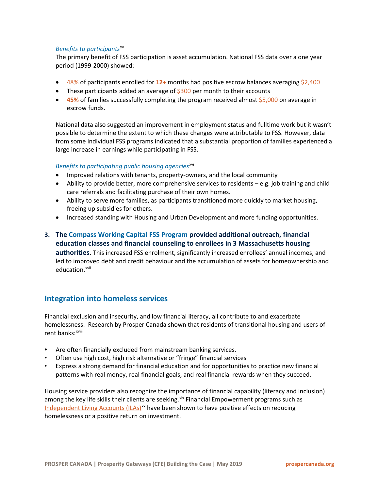### *Benefits to participants*[xv](#page-15-2)

The primary benefit of FSS participation is asset accumulation. National FSS data over a one year period (1999-2000) showed:

- 48% of participants enrolled for **12+** months had positive escrow balances averaging \$2,400
- These participants added an average of  $$300$  per month to their accounts
- **45%** of families successfully completing the program received almost \$5,000 on average in escrow funds.

National data also suggested an improvement in employment status and fulltime work but it wasn't possible to determine the extent to which these changes were attributable to FSS. However, data from some individual FSS programs indicated that a substantial proportion of families experienced a large increase in earnings while participating in FSS.

### Benefits to participating public housing agencies<sup>[xvi](#page-15-3)</sup>

- Improved relations with tenants, property-owners, and the local community
- Ability to provide better, more comprehensive services to residents e.g. job training and child care referrals and facilitating purchase of their own homes.
- Ability to serve more families, as participants transitioned more quickly to market housing, freeing up subsidies for others.
- Increased standing with Housing and Urban Development and more funding opportunities.
- **3. The Compass Working Capital FSS Program provided additional outreach, financial education classes and financial counseling to enrollees in 3 Massachusetts housing authorities**. This increased FSS enrolment, significantly increased enrollees' annual incomes, and led to improved debt and credit behaviour and the accumulation of assets for homeownership and education.<sup>[xvii](#page-15-4)</sup>

## **Integration into homeless services**

Financial exclusion and insecurity, and low financial literacy, all contribute to and exacerbate homelessnes[s.](#page-15-5) Research by Prosper Canada shown that residents of transitional housing and users of rent banks: xviii

- **•** Are often financially excluded from mainstream banking services.
- Often use high cost, high risk alternative or "fringe" financial services
- Express a strong demand for financial education and for opportunities to practice new financial patterns with real money, real financial goals, and real financial rewards when they succeed.

Housing service providers also recognize the importance of financial capability (literacy and inclusion) among the key life skills their clients are seeking.<sup>[xix](#page-15-6)</sup> Financial Empowerment programs such as [Independent Living Accounts \(ILAs\)](http://prospercanada.org/getattachment/09949af5-be29-4629-8b2b-e0ca60ae10b9/Independent-Living-Accounts-Leaving-Homelessness-i.aspx)<sup>[xx](#page-15-7)</sup> have been shown to have positive effects on reducing homelessness or a positive return on investment.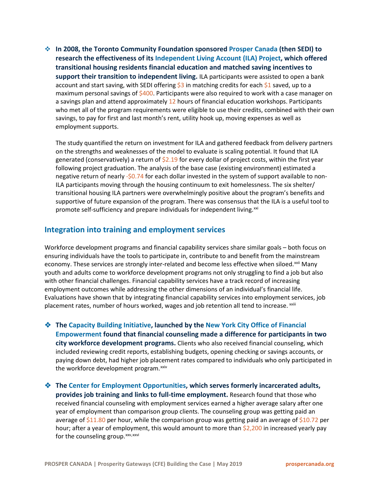**In 2008, the Toronto Community Foundation sponsored Prosper Canada (then SEDI) to research the effectiveness of its Independent Living Account (ILA) Project, which offered transitional housing residents financial education and matched saving incentives to support their transition to independent living.** ILA participants were assisted to open a bank account and start saving, with SEDI offering  $$3$  in matching credits for each  $$1$  saved, up to a maximum personal savings of  $$400$ . Participants were also required to work with a case manager on a savings plan and attend approximately 12 hours of financial education workshops. Participants who met all of the program requirements were eligible to use their credits, combined with their own savings, to pay for first and last month's rent, utility hook up, moving expenses as well as employment supports.

The study quantified the return on investment for ILA and gathered feedback from delivery partners on the strengths and weaknesses of the model to evaluate is scaling potential. It found that ILA generated (conservatively) a return of  $\frac{2.19}{2}$  for every dollar of project costs, within the first year following project graduation. The analysis of the base case (existing environment) estimated a negative return of nearly -\$0.74 for each dollar invested in the system of support available to non-ILA participants moving through the housing continuum to exit homelessness. The six shelter/ transitional housing ILA partners were overwhelmingly positive about the program's benefits and supportive of future expansion of the program. There was consensus that the ILA is a useful tool to promote self-sufficiency and prepare individuals for independent living.<sup>[xxi](#page-15-8)</sup>

## **Integration into training and employment services**

Workforce development programs and financial capability services share similar goals – both focus on ensuring individuals have the tools to participate in, contribute to and benefit from the mainstream economy. These services are strongly inter-related and become less effective when siloed.<sup>[xxii](#page-15-9)</sup> Many placement rates, number of hours worked, wages and job retent[i](#page-15-10)on all tend to increase. xxiii youth and adults come to workforce development programs not only struggling to find a job but also with other financial challenges. Financial capability services have a track record of increasing employment outcomes while addressing the other dimensions of an individual's financial life. Evaluations have shown that by integrating financial capability services into employment services, job

- **The Capacity Building Initiative, launched by the New York City Office of Financial Empowerment found that financial counseling made a difference for participants in two city workforce development programs.** Clients who also received financial counseling, which included reviewing credit reports, establishing budgets, opening checking or savings accounts, or paying down debt, had higher job placement rates compared to individuals who only participated in the workforce development program.<sup>[xxiv](#page-15-11)</sup>
- **The Center for Employment Opportunities, which serves formerly incarcerated adults, provides job training and links to full-time employment.** Research found that those who received financial counseling with employment services earned a higher average salary after one year of employment than comparison group clients. The counseling group was getting paid an average of \$11.80 per hour, while the comparison group was getting paid an average of \$10.72 per hour; after a year of employment, this would amount to more than \$2,200 in increased yearly pay for the counseling group. $xxy,xxy$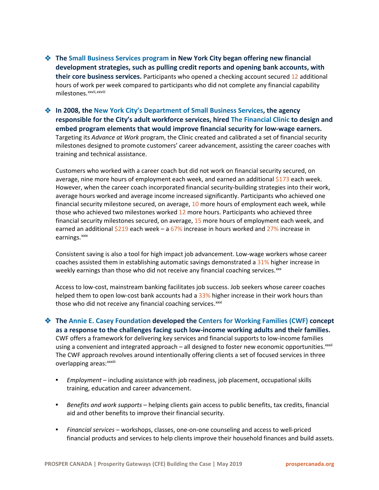**The Small Business Services program in New York City began offering new financial development strategies, such as pulling credit reports and opening bank accounts, with their core business services.** Participants who opened a checking account secured 12 additional hours of work per week compared to participants who did not complete any financial capability milestones.<sup>xxvi[i,](#page-15-14)xxv[i](#page-15-15)ii</sup>

 **In 2008, the New York City's Department of Small Business Services, the agency responsible for the City's adult workforce services, hired The Financial Clinic to design and embed program elements that would improve financial security for low-wage earners.** Targeting its *Advance at Work* program, the Clinic created and calibrated a set of financial security milestones designed to promote customers' career advancement, assisting the career coaches with training and technical assistance.

Customers who worked with a career coach but did not work on financial security secured, on average, nine more hours of employment each week, and earned an additional \$173 each week. However, when the career coach incorporated financial security-building strategies into their work, average hours worked and average income increased significantly. Participants who achieved one financial security milestone secured, on average, 10 more hours of employment each week, while those who achieved two milestones worked 12 more hours. Participants who achieved three financial security milestones secured, on average, 15 more hours of employment each week, and earned an additional  $$219$  each week – a 67% increase in hours worked and 27% increase in earnings.<sup>[xxix](#page-15-16)</sup>

Consistent saving is also a tool for high impact job advancement. Low-wage workers whose career coaches assisted them in establishing automatic savings demonstrated a 31% higher increase in weekly earnings than those who did not receive any financial coaching services.<sup>[xxx](#page-15-17)</sup>

Access to low-cost, mainstream banking facilitates job success. Job seekers whose career coaches helped them to open low-cost bank accounts had a 33% higher increase in their work hours than those who did not receive any financial coaching services.<sup>[xxxi](#page-15-18)</sup>

 **The Annie E. Casey Foundation developed the Centers for Working Families (CWF) concept as a response to the challenges facing such low-income working adults and their families.** CWF offers a framework for delivering key services and financial supports to low-income families us[i](#page-15-19)ng a convenient and integrated approach – all designed to foster new economic opportunities. xxxii The CWF approach re[v](#page-15-20)olves around intentionally offering clients a set of focused services in three overlapping areas: xxxiii

- **•** *Employment*  including assistance with job readiness, job placement, occupational skills training, education and career advancement.
- **•** *Benefits and work supports* helping clients gain access to public benefits, tax credits, financial aid and other benefits to improve their financial security.
- **•** *Financial services*  workshops, classes, one-on-one counseling and access to well-priced financial products and services to help clients improve their household finances and build assets.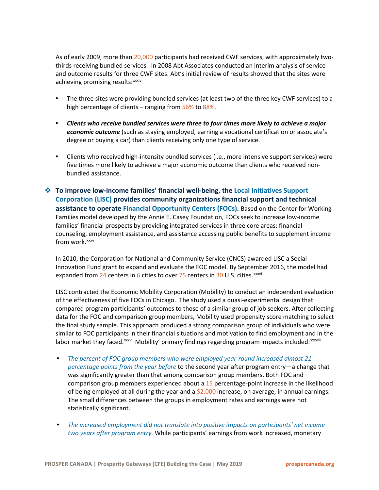As of early 2009, more than 20,000 participants had received CWF services, with approximately twothirds receiving bundled services. In 2008 Abt Associates conducted an interim analysis of service and outcome results for three [C](#page-15-21)WF sites. Abt's initial review of results showed that the sites were achieving promising results: xxxiv

- **•** The three sites were providing bundled services (at least two of the three key CWF services) to a high percentage of clients – ranging from 56% to 88%.
- **•** *Clients who receive bundled services were three to four times more likely to achieve a major economic outcome* (such as staying employed, earning a vocational certification or associate's degree or buying a car) than clients receiving only one type of service.
- **•** Clients who received high-intensity bundled services (i.e., more intensive support services) were five times more likely to achieve a major economic outcome than clients who received nonbundled assistance.
- **To improve low-income families' financial well-being, the Local Initiatives Support Corporation (LISC) provides community organizations financial support and technical assistance to operate Financial Opportunity Centers (FOCs).** Based on the Center for Working Families model developed by the Annie E. Casey Foundation, FOCs seek to increase low-income families' financial prospects by providing integrated services in three core areas: financial counseling, employment assistance, and assistance accessing public benefits to supplement income from work.<sup>[xxxv](#page-15-22)</sup>

In 2010, the Corporation for National and Community Service (CNCS) awarded LISC a Social Innovation Fund grant to expand and evaluate the FOC model. By September 2016, the model had expanded from  $24$  centers in 6 cities to over  $75$  centers in 30 U.S. cities.<sup>xxxvi</sup>

LISC contracted the Economic Mobility Corporation (Mobility) to conduct an independent evaluation of the effectiveness of five FOCs in Chicago. The study used a quasi-experimental design that compared program participants' outcomes to those of a similar group of job seekers. After collecting data for the FOC and comparison group members, Mobility used propensity score matching to select the final study sample. This approach produced a strong comparison group of individuals who were similar to FOC participants i[n](#page-15-24) their financial situations and motivation to find employment and in the labor market they faced.<sup>xxxv[i](#page-15-25)i</sup> Mobility' primary findings regarding program impacts included:<sup>xxxviii</sup>

- **•** *The percent of FOC group members who were employed year-round increased almost 21 percentage points from the year before* to the second year after program entry—a change that was significantly greater than that among comparison group members. Both FOC and comparison group members experienced about a 15 percentage-point increase in the likelihood of being employed at all during the year and a  $$2,000$  increase, on average, in annual earnings. The small differences between the groups in employment rates and earnings were not statistically significant.
- **•** *The increased employment did not translate into positive impacts on participants' net income two years after program entry.* While participants' earnings from work increased, monetary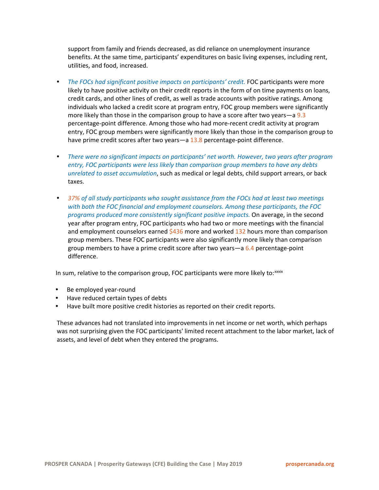support from family and friends decreased, as did reliance on unemployment insurance benefits. At the same time, participants' expenditures on basic living expenses, including rent, utilities, and food, increased.

- **•** *The FOCs had significant positive impacts on participants' credit.* FOC participants were more likely to have positive activity on their credit reports in the form of on time payments on loans, credit cards, and other lines of credit, as well as trade accounts with positive ratings. Among individuals who lacked a credit score at program entry, FOC group members were significantly more likely than those in the comparison group to have a score after two years—a 9.3 percentage-point difference. Among those who had more-recent credit activity at program entry, FOC group members were significantly more likely than those in the comparison group to have prime credit scores after two years—a 13.8 percentage-point difference.
- **•** *There were no significant impacts on participants' net worth. However, two years after program entry, FOC participants were less likely than comparison group members to have any debts unrelated to asset accumulation*, such as medical or legal debts, child support arrears, or back taxes.
- **•** *37% of all study participants who sought assistance from the FOCs had at least two meetings with both the FOC financial and employment counselors. Among these participants, the FOC programs produced more consistently significant positive impacts.* On average, in the second year after program entry, FOC participants who had two or more meetings with the financial and employment counselors earned  $$436$  more and worked 132 hours more than comparison group members. These FOC participants were also significantly more likely than comparison group members to have a prime credit score after two years—a 6.4 percentage-point difference.

In sum, relative to the comparison group, FOC participants were more likely to: $xxix$  $xxix$ 

- **•** Be employed year-round
- **•** Have reduced certain types of debts
- **•** Have built more positive credit histories as reported on their credit reports.

These advances had not translated into improvements in net income or net worth, which perhaps was not surprising given the FOC participants' limited recent attachment to the labor market, lack of assets, and level of debt when they entered the programs.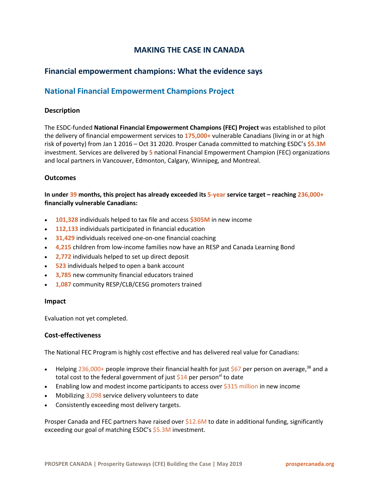# **MAKING THE CASE IN CANADA**

# **Financial empowerment champions: What the evidence says**

# **National Financial Empowerment Champions Project**

## **Description**

The ESDC-funded **National Financial Empowerment Champions (FEC) Project** was established to pilot the delivery of financial empowerment services to **175,000+** vulnerable Canadians (living in or at high risk of poverty) from Jan 1 2016 – Oct 31 2020. Prosper Canada committed to matching ESDC's **\$5.3M** investment. Services are delivered by **5** national Financial Empowerment Champion (FEC) organizations and local partners in Vancouver, Edmonton, Calgary, Winnipeg, and Montreal.

## **Outcomes**

**In under 39 months, this project has already exceeded its 5-year service target – reaching 236,000+ financially vulnerable Canadians:** 

- **101,328** individuals helped to tax file and access **\$305M** in new income
- **112,133** individuals participated in financial education
- **31,429** individuals received one-on-one financial coaching
- **4,215** children from low-income families now have an RESP and Canada Learning Bond
- **2,772** individuals helped to set up direct deposit
- **523** individuals helped to open a bank account
- **3,785** new community financial educators trained
- **1,087** community RESP/CLB/CESG promoters trained

#### **Impact**

Evaluation not yet completed.

## **Cost-effectiveness**

The National FEC Program is highly cost effective and has delivered real value for Canadians:

- Helping 236,000+ people improve their financial health for just  $$67$  per person on average,<sup>38</sup> and a total cost to the federal government of just  $$14$  per person<sup>[xl](#page-15-27)</sup> to date
- Enabling low and modest income participants to access over \$315 million in new income
- Mobilizing 3,098 service delivery volunteers to date
- Consistently exceeding most delivery targets.

Prosper Canada and FEC partners have raised over  $$12.6M$  to date in additional funding, significantly exceeding our goal of matching ESDC's \$5.3M investment.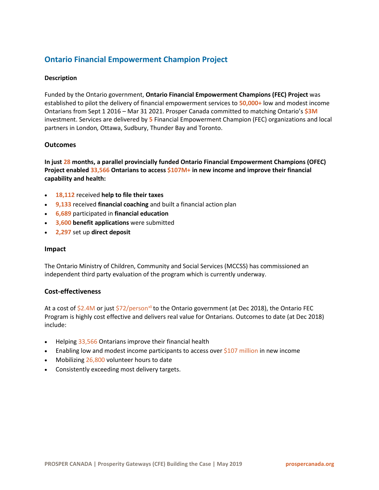# **Ontario Financial Empowerment Champion Project**

## **Description**

Funded by the Ontario government, **Ontario Financial Empowerment Champions (FEC) Project** was established to pilot the delivery of financial empowerment services to **50,000+** low and modest income Ontarians from Sept 1 2016 – Mar 31 2021. Prosper Canada committed to matching Ontario's **\$3M**  investment. Services are delivered by **5** Financial Empowerment Champion (FEC) organizations and local partners in London*,* Ottawa, Sudbury, Thunder Bay and Toronto.

### **Outcomes**

**In just 28 months, a parallel provincially funded Ontario Financial Empowerment Champions (OFEC) Project enabled 33,566 Ontarians to access \$107M+ in new income and improve their financial capability and health:** 

- **18,112** received **help to file their taxes**
- **9,133** received **financial coaching** and built a financial action plan
- **6,689** participated in **financial education**
- **3,600 benefit applications** were submitted
- **2,297** set up **direct deposit**

#### **Impact**

The Ontario Ministry of Children, Community and Social Services (MCCSS) has commissioned an independent third party evaluation of the program which is currently underway.

#### **Cost-effectiveness**

At a cost of  $$2.4M$  or just  $$72/person<sup>xli</sup>$  $$72/person<sup>xli</sup>$  $$72/person<sup>xli</sup>$  to the Ontario government (at Dec 2018), the Ontario FEC Program is highly cost effective and delivers real value for Ontarians. Outcomes to date (at Dec 2018) include:

- Helping 33,566 Ontarians improve their financial health
- Enabling low and modest income participants to access over \$107 million in new income
- Mobilizing 26,800 volunteer hours to date
- Consistently exceeding most delivery targets.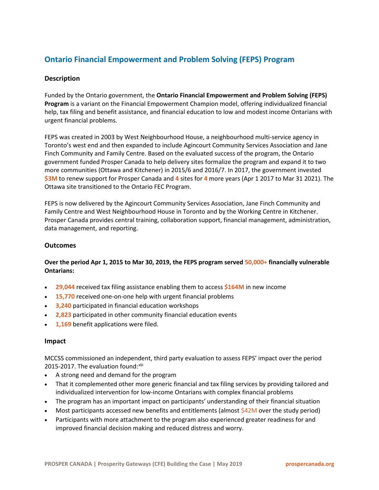# **Ontario Financial Empowerment and Problem Solving (FEPS) Program**

## **Description**

Funded by the Ontario government, the **Ontario Financial Empowerment and Problem Solving (FEPS) Program** is a variant on the Financial Empowerment Champion model, offering individualized financial help, tax filing and benefit assistance, and financial education to low and modest income Ontarians with urgent financial problems.

FEPS was created in 2003 by West Neighbourhood House, a neighbourhood multi-service agency in Toronto's west end and then expanded to include Agincourt Community Services Association and Jane Finch Community and Family Centre. Based on the evaluated success of the program, the Ontario government funded Prosper Canada to help delivery sites formalize the program and expand it to two more communities (Ottawa and Kitchener) in 2015/6 and 2016/7. In 2017, the government invested **\$3M** to renew support for Prosper Canada and **4** sites for **4** more years (Apr 1 2017 to Mar 31 2021). The Ottawa site transitioned to the Ontario FEC Program.

FEPS is now delivered by the Agincourt Community Services Association, Jane Finch Community and Family Centre and West Neighbourhood House in Toronto and by the Working Centre in Kitchener. Prosper Canada provides central training, collaboration support, financial management, administration, data management, and reporting.

## **Outcomes**

## **Over the period Apr 1, 2015 to Mar 30, 2019, the FEPS program served 50,000+ financially vulnerable Ontarians:**

- **29,044** received tax filing assistance enabling them to access **\$164M** in new income
- **15,770** received one-on-one help with urgent financial problems
- **3,240** participated in financial education workshops
- **2,823** participated in other community financial education events
- **1,169** benefit applications were filed.

#### **Impact**

MCCSS commissioned an independent, third party evaluation to assess FEPS' impact over the period 2015-2017. The evaluation found:[xlii](#page-15-29)

- A strong need and demand for the program
- That it complemented other more generic financial and tax filing services by providing tailored and individualized intervention for low-income Ontarians with complex financial problems
- The program has an important impact on participants' understanding of their financial situation
- Most participants accessed new benefits and entitlements (almost  $$42M$  over the study period)
- Participants with more attachment to the program also experienced greater readiness for and improved financial decision making and reduced distress and worry.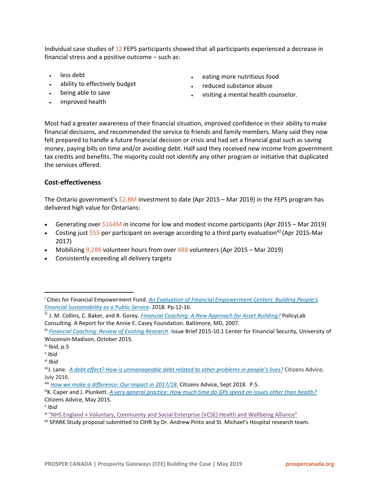Individual case studies of 12 FEPS participants showed that all participants experienced a decrease in financial stress and a positive outcome – such as:

- less debt
- ability to effectively budget
- being able to save
- improved health
- eating more nutritious food
- reduced substance abuse
- visiting a mental health counselor.

Most had a greater awareness of their financial situation, improved confidence in their ability to make financial decisions, and recommended the service to friends and family members. Many said they now felt prepared to handle a future financial decision or crisis and had set a financial goal such as saving money, paying bills on time and/or avoiding debt. Half said they received new income from government tax credits and benefits. The majority could not identify any other program or initiative that duplicated the services offered.

## **Cost-effectiveness**

The Ontario government's \$2.8M investment to date (Apr 2015 – Mar 2019) in the FEPS program has delivered high value for Ontarians:

- Generating over  $$164M$  in income for low and modest income participants (Apr 2015 Mar 2019)
- Costing just \$55 per participant on average according to a third party evaluation<sup>42</sup> (Apr 2015-Mar 2017)
- Mobilizing  $9,286$  volunteer hours from over  $488$  volunteers (Apr 2015 Mar 2019)
- Consistently exceeding all delivery targets

l

<span id="page-14-9"></span><sup>x</sup> *Ibid*

<span id="page-14-0"></span><sup>i</sup> Cities for Financial Empowerment Fund. *[An Evaluation of Financial Empowerment Centers: Building People's](http://cfefund.org/wp-content/uploads/2017/07/FEC-Evaluation.pdf)  [Financial Sustainability as a Public Service](http://cfefund.org/wp-content/uploads/2017/07/FEC-Evaluation.pdf)*. 2018. Pp.12-16.

<span id="page-14-1"></span>ii J. M. Collins, C. Baker, and R. Gorey. *[Financial Coaching: A New Approach for Asset Building?](https://www.aecf.org/m/resourcedoc/AECF-FinancialCoaching-2007-Full.pdf)* PolicyLab Consulting. A Report for the Annie E. Casey Foundation. Baltimore, MD, 2007.

<span id="page-14-2"></span>iii *[Financial Coaching: Review of Existing Research](https://fyi.uwex.edu/financialcoaching/files/2015/10/FinancialCoaching_10.1.pdf)*. Issue Brief 2015-10.1 Center for Financial Security, University of Wisconsin-Madison, October 2015.

<span id="page-14-3"></span>iv Ibid, p.5

<span id="page-14-4"></span><sup>v</sup> *Ibid*

<span id="page-14-5"></span>vi *Ibid*

<span id="page-14-6"></span>viiJ. Lane. *[A debt effect? How is unmanageable debt related to other problems in people's lives?](https://www.citizensadvice.org.uk/Global/CitizensAdvice/Debt%20and%20Money%20Publications/The%20Debt%20Effect.pdf)* Citizens Advice, July 2016.

<span id="page-14-7"></span>viii *[How we make a difference: Our impact in 2017/18](https://www.citizensadvice.org.uk/Global/Public/Impact/Impact%20report%202018%20%E2%80%93%20D4.pdf)*. Citizens Advice, Sept 2018. P.5.

<span id="page-14-8"></span>ixK. Caper and J. Plunkett. *[A very general practice: How much time do GPs spend on issues other than health?](https://www.citizensadvice.org.uk/Global/CitizensAdvice/Public%20services%20publications/CitizensAdvice_AVeryGeneralPractice_May2015.pdf)* Citizens Advice, May 2015.

<span id="page-14-10"></span>xi "NHS England [» Voluntary, Community and Social Enterprise \(VCSE\) Health and Wellbeing Alliance"](https://www.england.nhs.uk/hwalliance/)

<span id="page-14-11"></span>xii SPARK Study proposal submitted to CIHR by Dr. Andrew Pinto and St. Michael's Hospital research team.